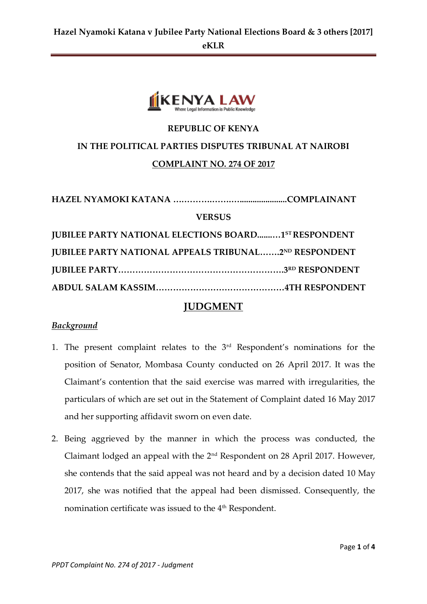

# **REPUBLIC OF KENYA IN THE POLITICAL PARTIES DISPUTES TRIBUNAL AT NAIROBI COMPLAINT NO. 274 OF 2017**

| <b>VERSUS</b>                                                |  |  |
|--------------------------------------------------------------|--|--|
| <b>JUBILEE PARTY NATIONAL ELECTIONS BOARD1ST RESPONDENT</b>  |  |  |
| <b>JUBILEE PARTY NATIONAL APPEALS TRIBUNAL2ND RESPONDENT</b> |  |  |
|                                                              |  |  |
|                                                              |  |  |

### **JUDGMENT**

#### *Background*

- 1. The present complaint relates to the 3rd Respondent's nominations for the position of Senator, Mombasa County conducted on 26 April 2017. It was the Claimant's contention that the said exercise was marred with irregularities, the particulars of which are set out in the Statement of Complaint dated 16 May 2017 and her supporting affidavit sworn on even date.
- 2. Being aggrieved by the manner in which the process was conducted, the Claimant lodged an appeal with the 2nd Respondent on 28 April 2017. However, she contends that the said appeal was not heard and by a decision dated 10 May 2017, she was notified that the appeal had been dismissed. Consequently, the nomination certificate was issued to the 4<sup>th</sup> Respondent.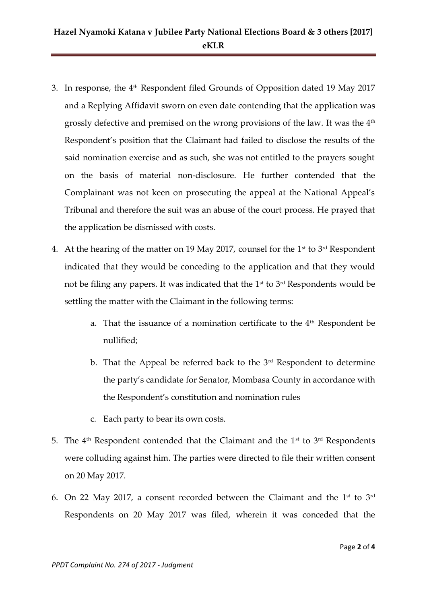## **Hazel Nyamoki Katana v Jubilee Party National Elections Board & 3 others [2017] eKLR**

- 3. In response, the 4<sup>th</sup> Respondent filed Grounds of Opposition dated 19 May 2017 and a Replying Affidavit sworn on even date contending that the application was grossly defective and premised on the wrong provisions of the law. It was the 4th Respondent's position that the Claimant had failed to disclose the results of the said nomination exercise and as such, she was not entitled to the prayers sought on the basis of material non-disclosure. He further contended that the Complainant was not keen on prosecuting the appeal at the National Appeal's Tribunal and therefore the suit was an abuse of the court process. He prayed that the application be dismissed with costs.
- 4. At the hearing of the matter on 19 May 2017, counsel for the  $1<sup>st</sup>$  to  $3<sup>rd</sup>$  Respondent indicated that they would be conceding to the application and that they would not be filing any papers. It was indicated that the  $1<sup>st</sup>$  to  $3<sup>rd</sup>$  Respondents would be settling the matter with the Claimant in the following terms:
	- a. That the issuance of a nomination certificate to the 4<sup>th</sup> Respondent be nullified;
	- b. That the Appeal be referred back to the  $3<sup>rd</sup>$  Respondent to determine the party's candidate for Senator, Mombasa County in accordance with the Respondent's constitution and nomination rules
	- c. Each party to bear its own costs.
- 5. The  $4<sup>th</sup>$  Respondent contended that the Claimant and the  $1<sup>st</sup>$  to  $3<sup>rd</sup>$  Respondents were colluding against him. The parties were directed to file their written consent on 20 May 2017.
- 6. On 22 May 2017, a consent recorded between the Claimant and the  $1^{\text{st}}$  to  $3^{\text{rd}}$ Respondents on 20 May 2017 was filed, wherein it was conceded that the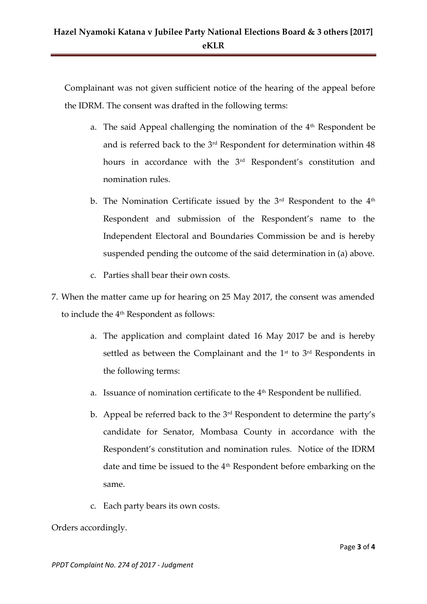Complainant was not given sufficient notice of the hearing of the appeal before the IDRM. The consent was drafted in the following terms:

- a. The said Appeal challenging the nomination of the 4<sup>th</sup> Respondent be and is referred back to the 3rd Respondent for determination within 48 hours in accordance with the 3<sup>rd</sup> Respondent's constitution and nomination rules.
- b. The Nomination Certificate issued by the  $3<sup>rd</sup>$  Respondent to the  $4<sup>th</sup>$ Respondent and submission of the Respondent's name to the Independent Electoral and Boundaries Commission be and is hereby suspended pending the outcome of the said determination in (a) above.
- c. Parties shall bear their own costs.
- 7. When the matter came up for hearing on 25 May 2017, the consent was amended to include the 4<sup>th</sup> Respondent as follows:
	- a. The application and complaint dated 16 May 2017 be and is hereby settled as between the Complainant and the  $1<sup>st</sup>$  to  $3<sup>rd</sup>$  Respondents in the following terms:
	- a. Issuance of nomination certificate to the  $4<sup>th</sup>$  Respondent be nullified.
	- b. Appeal be referred back to the 3rd Respondent to determine the party's candidate for Senator, Mombasa County in accordance with the Respondent's constitution and nomination rules. Notice of the IDRM date and time be issued to the 4<sup>th</sup> Respondent before embarking on the same.
	- c. Each party bears its own costs.

Orders accordingly.